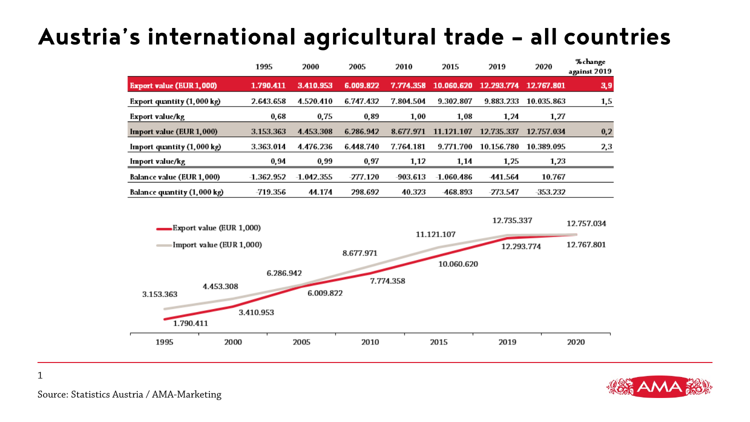#### **Austria's international agricultural trade – all countries**

|                                                                   | 1995                   | 2000         | 2005      | 2010      | 2015         | 2019       | 2020                     | % change<br>against 2019 |
|-------------------------------------------------------------------|------------------------|--------------|-----------|-----------|--------------|------------|--------------------------|--------------------------|
| <b>Export value (EUR 1,000)</b>                                   | 1.790.411              | 3.410.953    | 6.009.822 | 7.774.358 | 10.060.620   | 12.293.774 | 12,767.801               | 3,9                      |
| Export quantity (1,000 kg)                                        | 2.643.658              | 4.520.410    | 6.747.432 | 7.804.504 | 9.302.807    | 9.883.233  | 10.035.863               | 1,5                      |
| Export value/kg                                                   | 0,68                   | 0,75         | 0,89      | 1,00      | 1,08         | 1,24       | 1,27                     |                          |
| Import value (EUR 1,000)                                          | 3.153.363              | 4.453.308    | 6.286.942 | 8.677.971 | 11.121.107   | 12.735.337 | 12.757.034               | 0,2                      |
| Import quantity (1,000 kg)                                        | 3.363.014              | 4.476.236    | 6.448.740 | 7.764.181 | 9.771.700    | 10.156.780 | 10.389.095               | 2,3                      |
| Import value/kg                                                   | 0,94                   | 0,99         | 0,97      | 1,12      | 1,14         | 1,25       | 1,23                     |                          |
| <b>Balance value (EUR 1,000)</b>                                  | $-1.362.952$           | $-1.042.355$ | -277.120  | -903.613  | $-1.060.486$ | -441.564   | 10.767                   |                          |
| Balance quantity (1,000 kg)                                       | -719.356               | 44.174       | 298.692   | 40.323    | -468.893     | -273.547   | -353.232                 |                          |
| Export value (EUR 1,000)<br>Import value (EUR 1,000)<br>8.677.971 |                        |              |           |           | 11.121.107   |            | 12.735.337<br>12.293.774 | 12.757.034<br>12.767.801 |
| 4.453.308<br>3.153.363<br>1.790.411                               | 6.286.942<br>3.410.953 | 6.009.822    |           | 7.774.358 | 10.060.620   |            |                          |                          |
| 1995                                                              | 2000                   | 2005         | 2010      |           | 2015         | 2019       |                          | 2020                     |



Source: Statistics Austria / AMA-Marketing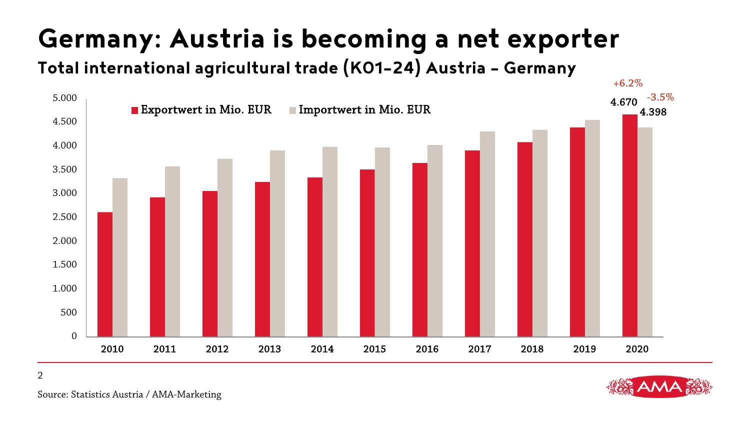## **Germany: Austria is becoming a net exporter**

**Total international agricultural trade (K01-24) Austria – Germany**

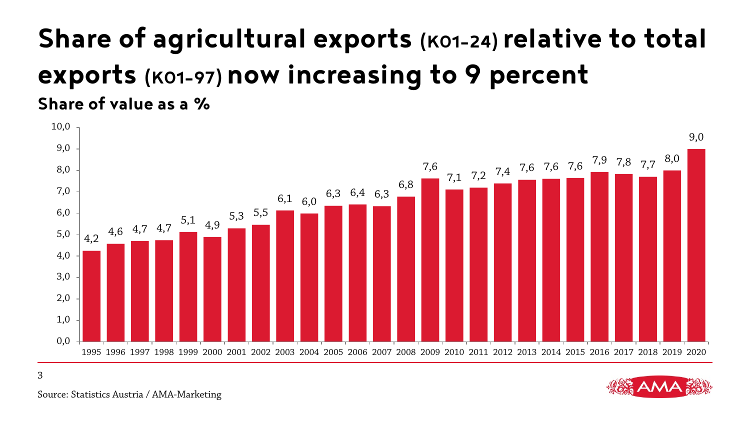#### **Share of agricultural exports (K01-24) relative to total exports (K01-97) now increasing to 9 percent Share of value as a %**





Source: Statistics Austria / AMA-Marketing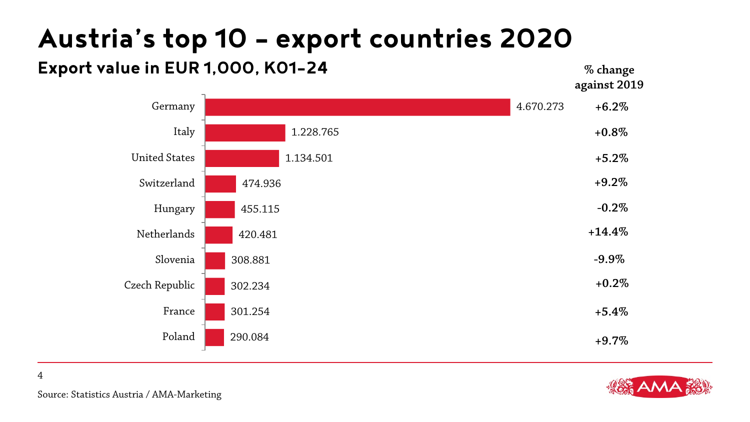### **Austria's top 10 – export countries 2020**

#### **Export value in EUR 1,000, K01-24**





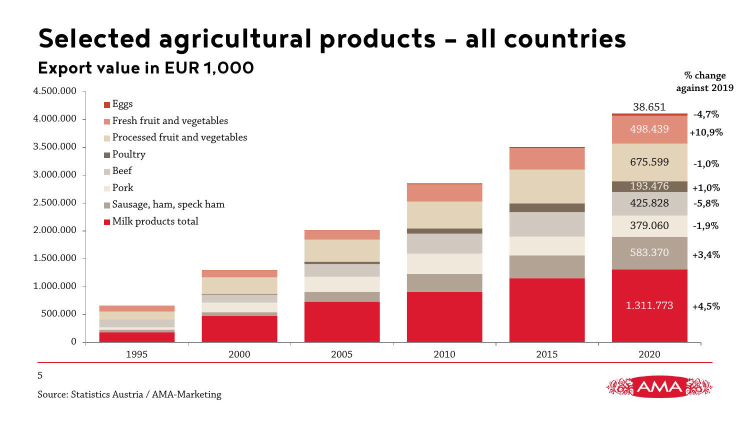#### **Selected agricultural products – all countries Export value in EUR 1,000**





Source: Statistics Austria / AMA-Marketing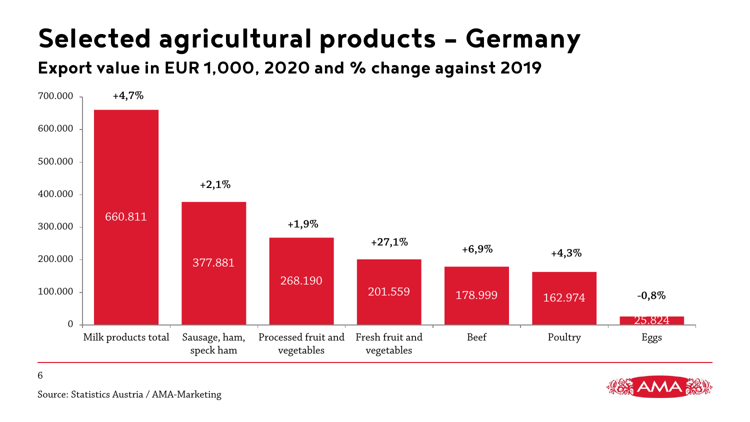### **Selected agricultural products – Germany**

**Export value in EUR 1,000, 2020 and % change against 2019**





Source: Statistics Austria / AMA-Marketing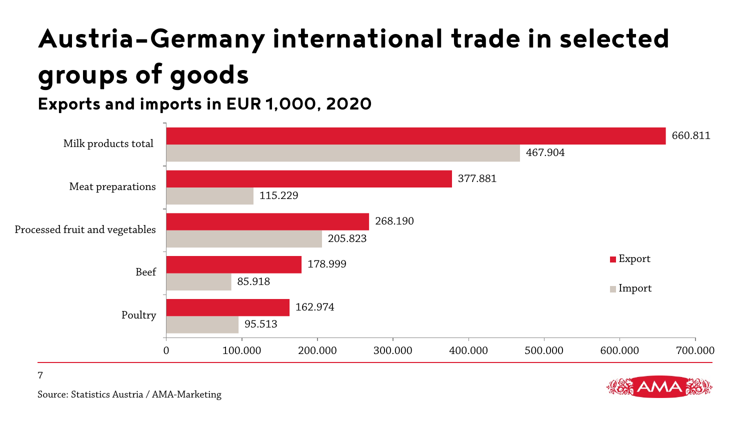# **Austria-Germany international trade in selected groups of goods**

**Exports and imports in EUR 1,000, 2020**





Source: Statistics Austria / AMA-Marketing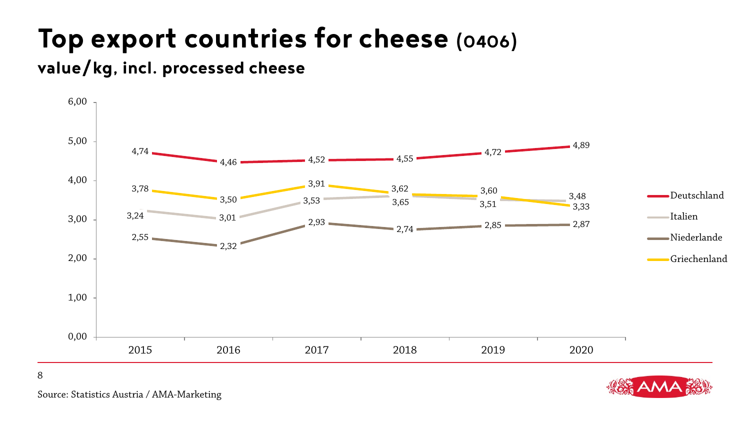## **Top export countries for cheese (0406)**

#### **value/kg, incl. processed cheese**





Source: Statistics Austria / AMA-Marketing